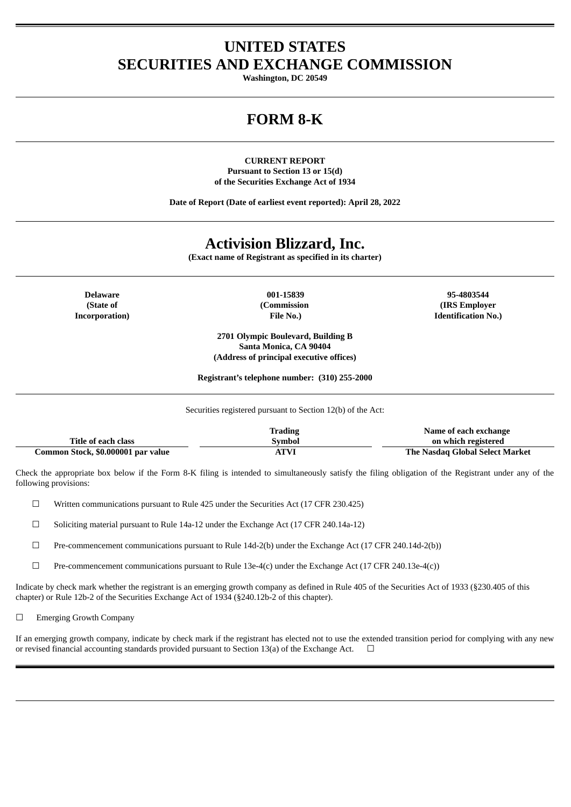# **UNITED STATES SECURITIES AND EXCHANGE COMMISSION**

**Washington, DC 20549**

# **FORM 8-K**

**CURRENT REPORT Pursuant to Section 13 or 15(d) of the Securities Exchange Act of 1934**

**Date of Report (Date of earliest event reported): April 28, 2022**

# **Activision Blizzard, Inc.**

**(Exact name of Registrant as specified in its charter)**

**(State of Incorporation)** **(Commission File No.)**

**2701 Olympic Boulevard, Building B Santa Monica, CA 90404**

**Delaware 001-15839 95-4803544 (IRS Employer Identification No.)**

> **(Address of principal executive offices) Registrant's telephone number: (310) 255-2000**

Securities registered pursuant to Section 12(b) of the Act:

|                                    | Trading | Name of each exchange           |
|------------------------------------|---------|---------------------------------|
| Title of each class                | Svmbol  | on which registered             |
| Common Stock, \$0.000001 par value | ATVI    | The Nasdag Global Select Market |

Check the appropriate box below if the Form 8-K filing is intended to simultaneously satisfy the filing obligation of the Registrant under any of the following provisions:

☐ Written communications pursuant to Rule 425 under the Securities Act (17 CFR 230.425)

☐ Soliciting material pursuant to Rule 14a-12 under the Exchange Act (17 CFR 240.14a-12)

☐ Pre-commencement communications pursuant to Rule 14d-2(b) under the Exchange Act (17 CFR 240.14d-2(b))

 $□$  Pre-commencement communications pursuant to Rule 13e-4(c) under the Exchange Act (17 CFR 240.13e-4(c))

Indicate by check mark whether the registrant is an emerging growth company as defined in Rule 405 of the Securities Act of 1933 (§230.405 of this chapter) or Rule 12b-2 of the Securities Exchange Act of 1934 (§240.12b-2 of this chapter).

□ Emerging Growth Company

If an emerging growth company, indicate by check mark if the registrant has elected not to use the extended transition period for complying with any new or revised financial accounting standards provided pursuant to Section 13(a) of the Exchange Act.  $\Box$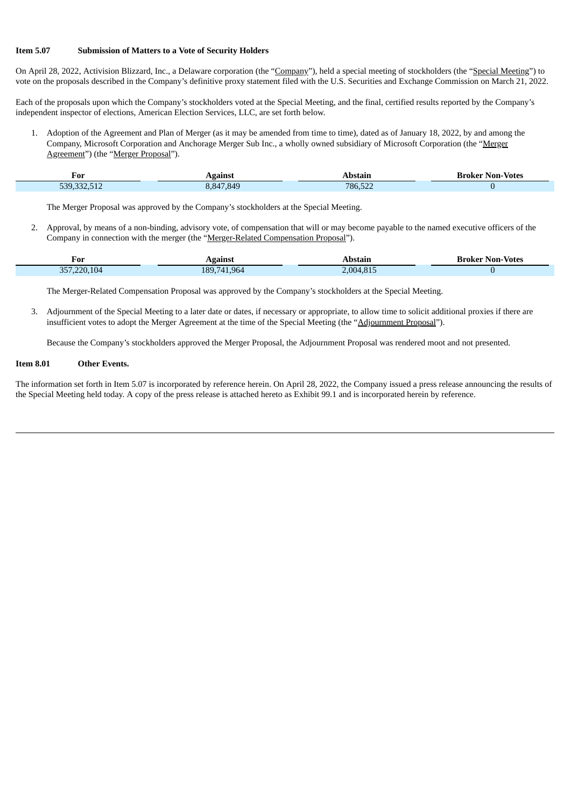### **Item 5.07 Submission of Matters to a Vote of Security Holders**

On April 28, 2022, Activision Blizzard, Inc., a Delaware corporation (the "Company"), held a special meeting of stockholders (the "Special Meeting") to vote on the proposals described in the Company's definitive proxy statement filed with the U.S. Securities and Exchange Commission on March 21, 2022.

Each of the proposals upon which the Company's stockholders voted at the Special Meeting, and the final, certified results reported by the Company's independent inspector of elections, American Election Services, LLC, are set forth below.

1. Adoption of the Agreement and Plan of Merger (as it may be amended from time to time), dated as of January 18, 2022, by and among the Company, Microsoft Corporation and Anchorage Merger Sub Inc., a wholly owned subsidiary of Microsoft Corporation (the "Merger Agreement") (the "Merger Proposal").

| For<br>$\sim$ $\sim$     | gainst               | mı     | Non-<br>-Votes<br>Broker |
|--------------------------|----------------------|--------|--------------------------|
| $0.005$ $\pm 4.0$<br>rno | .849<br>: 847<br>. . | 786.52 |                          |

The Merger Proposal was approved by the Company's stockholders at the Special Meeting.

2. Approval, by means of a non-binding, advisory vote, of compensation that will or may become payable to the named executive officers of the Company in connection with the merger (the "Merger-Related Compensation Proposal").

| For<br>___        | gainst                          | Abstain            | <b>Broker Non-Votes</b><br>- - - - |
|-------------------|---------------------------------|--------------------|------------------------------------|
| 104<br>357<br>חכי | .964<br>189.<br>.<br>$\sqrt{ }$ | $^{\circ}$ 004.81. |                                    |

The Merger-Related Compensation Proposal was approved by the Company's stockholders at the Special Meeting.

3. Adjournment of the Special Meeting to a later date or dates, if necessary or appropriate, to allow time to solicit additional proxies if there are insufficient votes to adopt the Merger Agreement at the time of the Special Meeting (the "Adjournment Proposal").

Because the Company's stockholders approved the Merger Proposal, the Adjournment Proposal was rendered moot and not presented.

### **Item 8.01 Other Events.**

The information set forth in Item 5.07 is incorporated by reference herein. On April 28, 2022, the Company issued a press release announcing the results of the Special Meeting held today. A copy of the press release is attached hereto as Exhibit 99.1 and is incorporated herein by reference.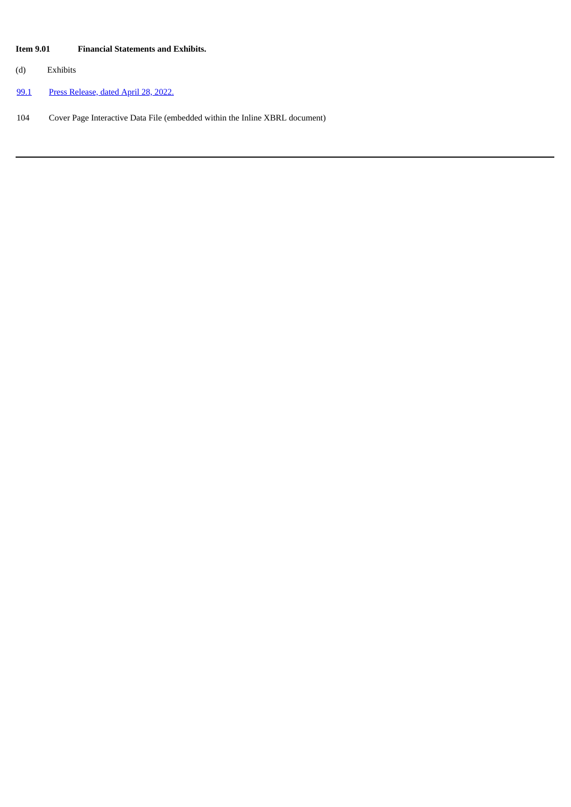## **Item 9.01 Financial Statements and Exhibits.**

(d) Exhibits

[99.1](#page-4-0) Press [Release,](#page-4-0) dated April 28, 2022.

104 Cover Page Interactive Data File (embedded within the Inline XBRL document)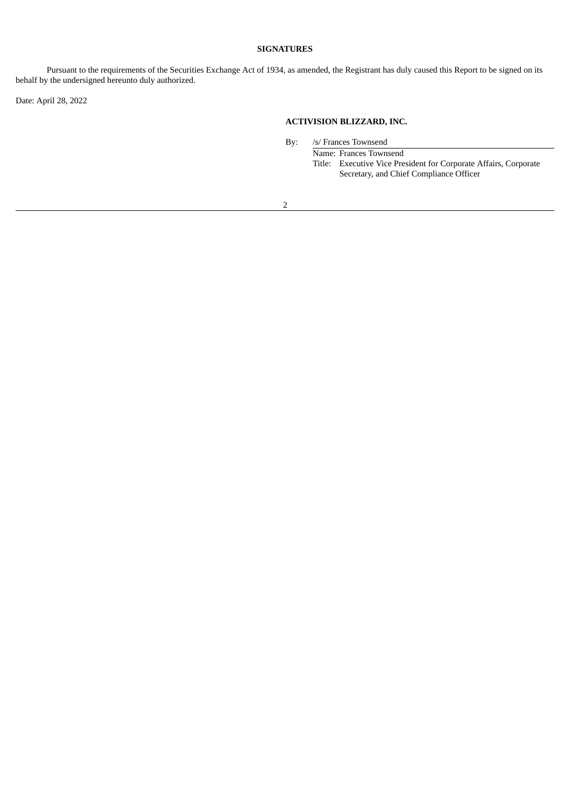## **SIGNATURES**

Pursuant to the requirements of the Securities Exchange Act of 1934, as amended, the Registrant has duly caused this Report to be signed on its behalf by the undersigned hereunto duly authorized.

Date: April 28, 2022

## **ACTIVISION BLIZZARD, INC.**

By: /s/ Frances Townsend

Name: Frances Townsend Title: Executive Vice President for Corporate Affairs, Corporate Secretary, and Chief Compliance Officer